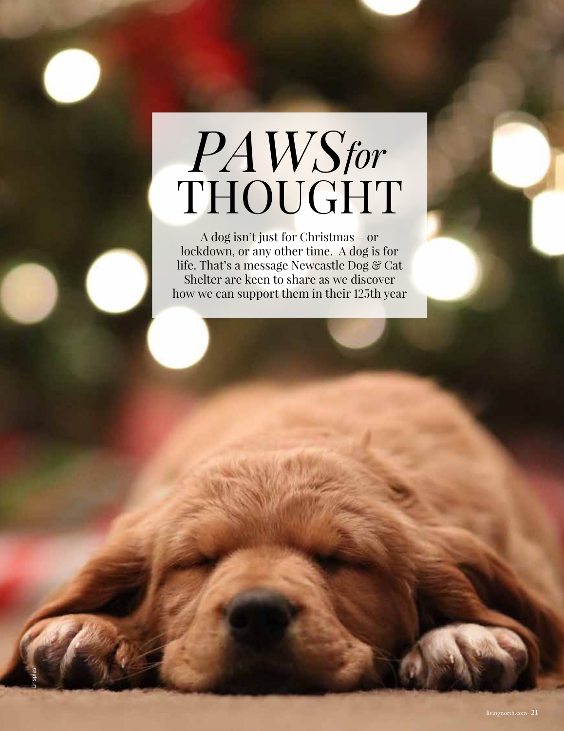## *PAWS* THOUGHT *for*

A dog isn't just for Christmas – or lockdown, or any other time. A dog is for life. That's a message Newcastle Dog & Cat Shelter are keen to share as we discover how we can support them in their 125th year

Unsplash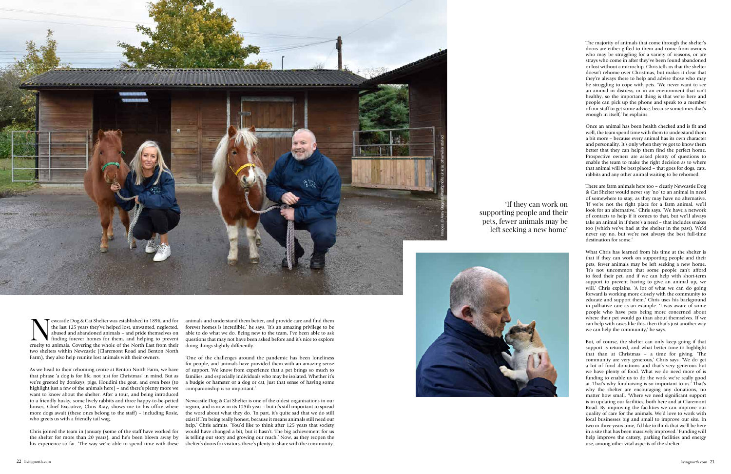The majority of animals that come through the shelter's doors are either gifted to them and come from owners who may be struggling for a variety of reasons, or are strays who come in after they've been found abandoned or lost without a microchip. Chris tells us that the shelter doesn't rehome over Christmas, but makes it clear that they're always there to help and advise those who may be struggling to cope with pets. 'We never want to see an animal in distress, or in an environment that isn't healthy, so the important thing is that we're here and people can pick up the phone and speak to a member of our staff to get some advice, because sometimes that's enough in itself,' he explains.

Once an animal has been health checked and is fit and well, the team spend time with them to understand them a bit more – because every animal has its own character and personality. It's only when they've got to know them better that they can help them find the perfect home. Prospective owners are asked plenty of questions to enable the team to make the right decision as to where that animal will be best placed – that goes for dogs, cats, rabbits and any other animal waiting to be rehomed.

There are farm animals here too – clearly Newcastle Dog & Cat Shelter would never say 'no' to an animal in need of somewhere to stay, as they may have no alternative. 'If we're not the right place for a farm animal, we'll look for an alternative,' Chris says. 'We have a network of contacts to help if it comes to that, but we'll always take an animal in if there's a need – that includes snakes too (which we've had at the shelter in the past). We'd never say no, but we're not always the best full-time destination for some.'

External to pure and prior the last 125 years they've helped lost, unwanted, neglected, abused and abandoned animals – and pride themselves on finding forever homes for them, and helping to prevent cruelty to animals. Cove the last 125 years they've helped lost, unwanted, neglected, abused and abandoned animals – and pride themselves on finding forever homes for them, and helping to prevent two shelters within Newcastle (Claremont Road and Benton North Farm), they also help reunite lost animals with their owners.

What Chris has learned from his time at the shelter is that if they can work on supporting people and their pets, fewer animals may be left seeking a new home. 'It's not uncommon that some people can't afford to feed their pet, and if we can help with short-term support to prevent having to give an animal up, we will,' Chris explains. 'A lot of what we can do going forward is working more closely with the community to educate and support them.' Chris uses his background in palliative care as an example. 'I was aware of some people who have pets being more concerned about where their pet would go than about themselves. If we can help with cases like this, then that's just another way we can help the community,' he says.

But, of course, the shelter can only keep going if that support is returned, and what better time to highlight that than at Christmas – a time for giving. 'The community are very generous,' Chris says. 'We do get a lot of food donations and that's very generous but we have plenty of food. What we do need more of is funding to enable us to do the work we're really good at. That's why fundraising is so important to us.' That's why the shelter are encouraging any donations, no matter how small. 'Where we need significant support is in updating our facilities, both here and at Claremont Road. By improving the facilities we can improve our quality of care for the animals. We'd love to work with local businesses big and small to improve our site. In two or three years time, I'd like to think that we'll be here in a site that has been massively improved.' Funding will help improve the cattery, parking facilities and energy use, among other vital aspects of the shelter.

supporting people and their pets, fewer animals may be

'If they can work on left seeking a new home'

As we head to their rehoming centre at Benton North Farm, we have that phrase 'a dog is for life, not just for Christmas' in mind. But as we're greeted by donkeys, pigs, Houdini the goat, and even bees (to highlight just a few of the animals here) – and there's plenty more we want to know about the shelter. After a tour, and being introduced to a friendly husky, some lively rabbits and three happy-to-be-petted horses, Chief Executive, Chris Bray, shows me to his office where more dogs await (these ones belong to the staff) – including Rosie, who greets us with a friendly tail wag.

Chris joined the team in January (some of the staff have worked for the shelter for more than 20 years), and he's been blown away by his experience so far. 'The way we're able to spend time with these

animals and understand them better, and provide care and find them forever homes is incredible,' he says. 'It's an amazing privilege to be able to do what we do. Being new to the team, I've been able to ask questions that may not have been asked before and it's nice to explore doing things slightly differently.

'One of the challenges around the pandemic has been loneliness for people, and animals have provided them with an amazing sense of support. We know from experience that a pet brings so much to families, and especially individuals who may be isolated. Whether it's a budgie or hamster or a dog or cat, just that sense of having some companionship is so important.'

Newcastle Dog & Cat Shelter is one of the oldest organisations in our region, and is now in its 125th year – but it's still important to spread the word about what they do. 'In part, it's quite sad that we do still exist if I'm being really honest, because it means animals still need our help,' Chris admits. 'You'd like to think after 125 years that society would have changed a bit, but it hasn't. The big achievement for us is telling our story and growing our reach.' Now, as they reopen the shelter's doors for visitors, there's plenty to share with the community.